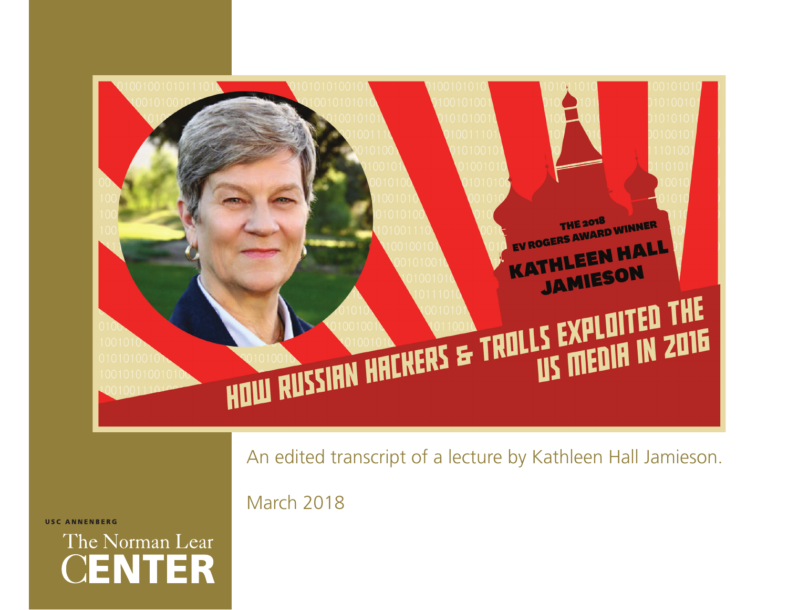

**USC ANNENBERG** 

The Norman Lear **CENTER**  An edited transcript of a lecture by Kathleen Hall Jamieson.

March 2018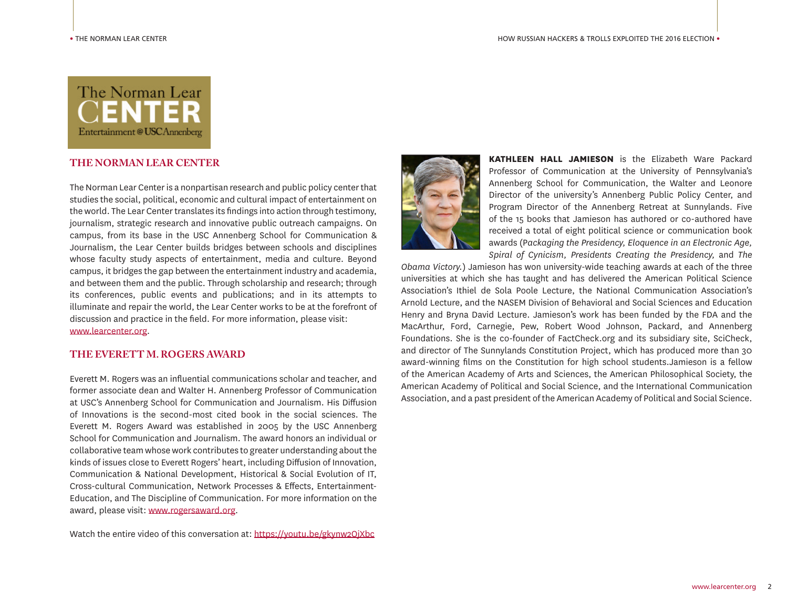

# **THE NORMAN LEAR CENTER**

The Norman Lear Center is a nonpartisan research and public policy center that studies the social, political, economic and cultural impact of entertainment on the world. The Lear Center translates its findings into action through testimony, journalism, strategic research and innovative public outreach campaigns. On campus, from its base in the USC Annenberg School for Communication & Journalism, the Lear Center builds bridges between schools and disciplines whose faculty study aspects of entertainment, media and culture. Beyond campus, it bridges the gap between the entertainment industry and academia, and between them and the public. Through scholarship and research; through its conferences, public events and publications; and in its attempts to illuminate and repair the world, the Lear Center works to be at the forefront of discussion and practice in the field. For more information, please visit: www.learcenter.org.

## **THE EVERETT M. ROGERS AWARD**

Everett M. Rogers was an influential communications scholar and teacher, and former associate dean and Walter H. Annenberg Professor of Communication at USC's Annenberg School for Communication and Journalism. His Diffusion of Innovations is the second-most cited book in the social sciences. The Everett M. Rogers Award was established in 2005 by the USC Annenberg School for Communication and Journalism. The award honors an individual or collaborative team whose work contributes to greater understanding about the kinds of issues close to Everett Rogers' heart, including Diffusion of Innovation, Communication & National Development, Historical & Social Evolution of IT, Cross-cultural Communication, Network Processes & Effects, Entertainment-Education, and The Discipline of Communication. For more information on the award, please visit: www.rogersaward.org.

Watch the entire video of this conversation at: https://youtu.be/gkynw2OjXbc



**KATHLEEN HALL JAMIESON** is the Elizabeth Ware Packard Professor of Communication at the University of Pennsylvania's Annenberg School for Communication, the Walter and Leonore Director of the university's Annenberg Public Policy Center, and Program Director of the Annenberg Retreat at Sunnylands. Five of the 15 books that Jamieson has authored or co-authored have received a total of eight political science or communication book awards (P*ackaging the Presidency, Eloquence in an Electronic Age, Spiral of Cynicism, Presidents Creating the Presidency,* and *The* 

*Obama Victory.*) Jamieson has won university-wide teaching awards at each of the three universities at which she has taught and has delivered the American Political Science Association's Ithiel de Sola Poole Lecture, the National Communication Association's Arnold Lecture, and the NASEM Division of Behavioral and Social Sciences and Education Henry and Bryna David Lecture. Jamieson's work has been funded by the FDA and the MacArthur, Ford, Carnegie, Pew, Robert Wood Johnson, Packard, and Annenberg Foundations. She is the co-founder of FactCheck.org and its subsidiary site, SciCheck, and director of The Sunnylands Constitution Project, which has produced more than 30 award-winning films on the Constitution for high school students.Jamieson is a fellow of the American Academy of Arts and Sciences, the American Philosophical Society, the American Academy of Political and Social Science, and the International Communication Association, and a past president of the American Academy of Political and Social Science.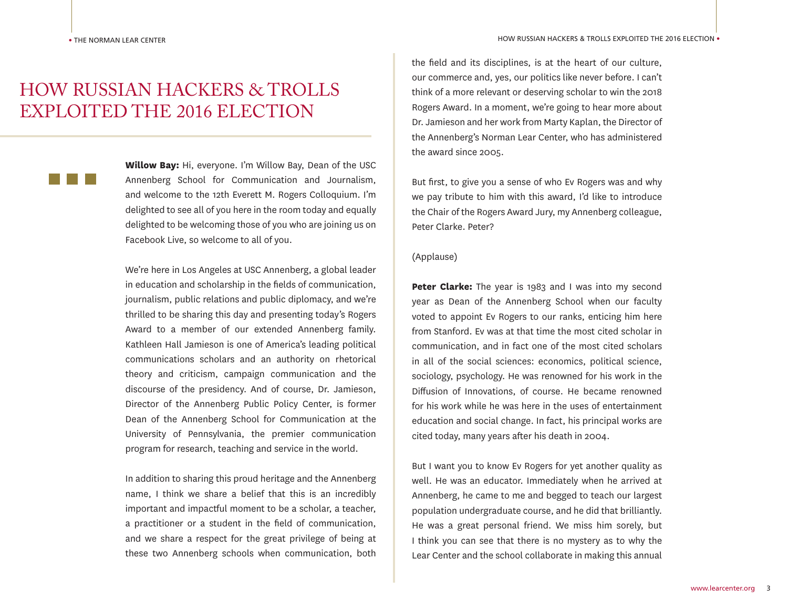# HOW RUSSIAN HACKERS & TROLLS EXPLOITED THE 2016 ELECTION

**Willow Bay:** Hi, everyone. I'm Willow Bay, Dean of the USC Annenberg School for Communication and Journalism, and welcome to the 12th Everett M. Rogers Colloquium. I'm delighted to see all of you here in the room today and equally delighted to be welcoming those of you who are joining us on Facebook Live, so welcome to all of you.

We're here in Los Angeles at USC Annenberg, a global leader in education and scholarship in the fields of communication, journalism, public relations and public diplomacy, and we're thrilled to be sharing this day and presenting today's Rogers Award to a member of our extended Annenberg family. Kathleen Hall Jamieson is one of America's leading political communications scholars and an authority on rhetorical theory and criticism, campaign communication and the discourse of the presidency. And of course, Dr. Jamieson, Director of the Annenberg Public Policy Center, is former Dean of the Annenberg School for Communication at the University of Pennsylvania, the premier communication program for research, teaching and service in the world.

In addition to sharing this proud heritage and the Annenberg name, I think we share a belief that this is an incredibly important and impactful moment to be a scholar, a teacher, a practitioner or a student in the field of communication, and we share a respect for the great privilege of being at these two Annenberg schools when communication, both

the field and its disciplines, is at the heart of our culture, our commerce and, yes, our politics like never before. I can't think of a more relevant or deserving scholar to win the 2018 Rogers Award. In a moment, we're going to hear more about Dr. Jamieson and her work from Marty Kaplan, the Director of the Annenberg's Norman Lear Center, who has administered the award since 2005.

But first, to give you a sense of who Ev Rogers was and why we pay tribute to him with this award, I'd like to introduce the Chair of the Rogers Award Jury, my Annenberg colleague, Peter Clarke. Peter?

## (Applause)

**Peter Clarke:** The year is 1983 and I was into my second year as Dean of the Annenberg School when our faculty voted to appoint Ev Rogers to our ranks, enticing him here from Stanford. Ev was at that time the most cited scholar in communication, and in fact one of the most cited scholars in all of the social sciences: economics, political science, sociology, psychology. He was renowned for his work in the Diffusion of Innovations, of course. He became renowned for his work while he was here in the uses of entertainment education and social change. In fact, his principal works are cited today, many years after his death in 2004.

But I want you to know Ev Rogers for yet another quality as well. He was an educator. Immediately when he arrived at Annenberg, he came to me and begged to teach our largest population undergraduate course, and he did that brilliantly. He was a great personal friend. We miss him sorely, but I think you can see that there is no mystery as to why the Lear Center and the school collaborate in making this annual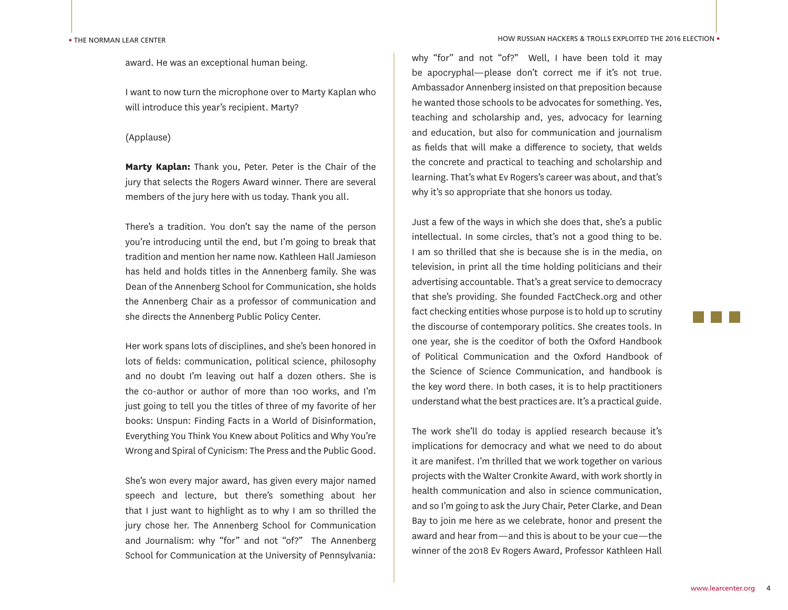award. He was an exceptional human being.

I want to now turn the microphone over to Marty Kaplan who will introduce this year's recipient. Marty?

## (Applause)

**Marty Kaplan:** Thank you, Peter. Peter is the Chair of the jury that selects the Rogers Award winner. There are several members of the jury here with us today. Thank you all.

There's a tradition. You don't say the name of the person you're introducing until the end, but I'm going to break that tradition and mention her name now. Kathleen Hall Jamieson has held and holds titles in the Annenberg family. She was Dean of the Annenberg School for Communication, she holds the Annenberg Chair as a professor of communication and she directs the Annenberg Public Policy Center.

Her work spans lots of disciplines, and she's been honored in lots of fields: communication, political science, philosophy and no doubt I'm leaving out half a dozen others. She is the co-author or author of more than 100 works, and I'm just going to tell you the titles of three of my favorite of her books: Unspun: Finding Facts in a World of Disinformation, Everything You Think You Knew about Politics and Why You're Wrong and Spiral of Cynicism: The Press and the Public Good.

She's won every major award, has given every major named speech and lecture, but there's something about her that I just want to highlight as to why I am so thrilled the jury chose her. The Annenberg School for Communication and Journalism: why "for" and not "of?" The Annenberg School for Communication at the University of Pennsylvania: why "for" and not "of?" Well, I have been told it may be apocryphal—please don't correct me if it's not true. Ambassador Annenberg insisted on that preposition because he wanted those schools to be advocates for something. Yes, teaching and scholarship and, yes, advocacy for learning and education, but also for communication and journalism as fields that will make a difference to society, that welds the concrete and practical to teaching and scholarship and learning. That's what Ev Rogers's career was about, and that's why it's so appropriate that she honors us today.

Just a few of the ways in which she does that, she's a public intellectual. In some circles, that's not a good thing to be. I am so thrilled that she is because she is in the media, on television, in print all the time holding politicians and their advertising accountable. That's a great service to democracy that she's providing. She founded FactCheck.org and other fact checking entities whose purpose is to hold up to scrutiny the discourse of contemporary politics. She creates tools. In one year, she is the coeditor of both the Oxford Handbook of Political Communication and the Oxford Handbook of the Science of Science Communication, and handbook is the key word there. In both cases, it is to help practitioners understand what the best practices are. It's a practical guide.

The work she'll do today is applied research because it's implications for democracy and what we need to do about it are manifest. I'm thrilled that we work together on various projects with the Walter Cronkite Award, with work shortly in health communication and also in science communication, and so I'm going to ask the Jury Chair, Peter Clarke, and Dean Bay to join me here as we celebrate, honor and present the award and hear from—and this is about to be your cue—the winner of the 2018 Ev Rogers Award, Professor Kathleen Hall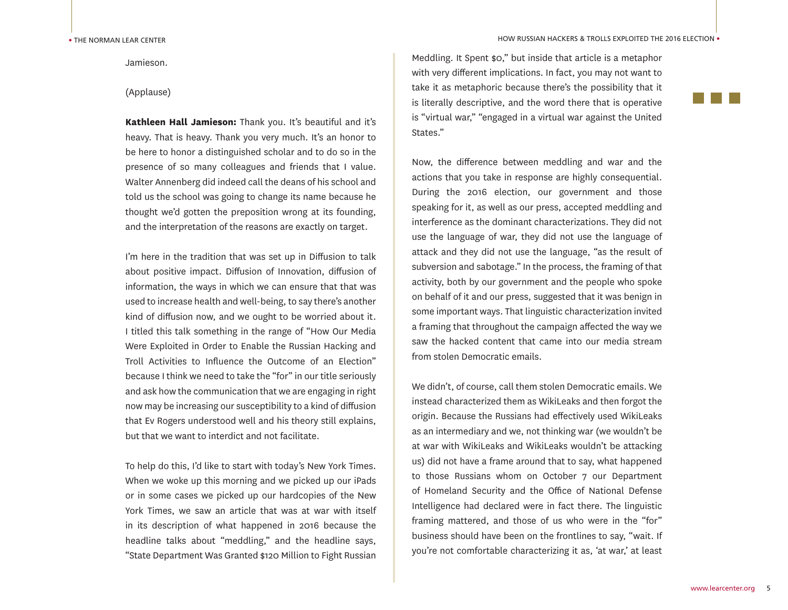Jamieson.

## (Applause)

**Kathleen Hall Jamieson:** Thank you. It's beautiful and it's heavy. That is heavy. Thank you very much. It's an honor to be here to honor a distinguished scholar and to do so in the presence of so many colleagues and friends that I value. Walter Annenberg did indeed call the deans of his school and told us the school was going to change its name because he thought we'd gotten the preposition wrong at its founding, and the interpretation of the reasons are exactly on target.

I'm here in the tradition that was set up in Diffusion to talk about positive impact. Diffusion of Innovation, diffusion of information, the ways in which we can ensure that that was used to increase health and well-being, to say there's another kind of diffusion now, and we ought to be worried about it. I titled this talk something in the range of "How Our Media Were Exploited in Order to Enable the Russian Hacking and Troll Activities to Influence the Outcome of an Election" because I think we need to take the "for" in our title seriously and ask how the communication that we are engaging in right now may be increasing our susceptibility to a kind of diffusion that Ev Rogers understood well and his theory still explains, but that we want to interdict and not facilitate.

To help do this, I'd like to start with today's New York Times. When we woke up this morning and we picked up our iPads or in some cases we picked up our hardcopies of the New York Times, we saw an article that was at war with itself in its description of what happened in 2016 because the headline talks about "meddling," and the headline says, "State Department Was Granted \$120 Million to Fight Russian

Meddling. It Spent \$0," but inside that article is a metaphor with very different implications. In fact, you may not want to take it as metaphoric because there's the possibility that it is literally descriptive, and the word there that is operative is "virtual war," "engaged in a virtual war against the United States."

Now, the difference between meddling and war and the actions that you take in response are highly consequential. During the 2016 election, our government and those speaking for it, as well as our press, accepted meddling and interference as the dominant characterizations. They did not use the language of war, they did not use the language of attack and they did not use the language, "as the result of subversion and sabotage." In the process, the framing of that activity, both by our government and the people who spoke on behalf of it and our press, suggested that it was benign in some important ways. That linguistic characterization invited a framing that throughout the campaign affected the way we saw the hacked content that came into our media stream from stolen Democratic emails.

We didn't, of course, call them stolen Democratic emails. We instead characterized them as WikiLeaks and then forgot the origin. Because the Russians had effectively used WikiLeaks as an intermediary and we, not thinking war (we wouldn't be at war with WikiLeaks and WikiLeaks wouldn't be attacking us) did not have a frame around that to say, what happened to those Russians whom on October 7 our Department of Homeland Security and the Office of National Defense Intelligence had declared were in fact there. The linguistic framing mattered, and those of us who were in the "for" business should have been on the frontlines to say, "wait. If you're not comfortable characterizing it as, 'at war,' at least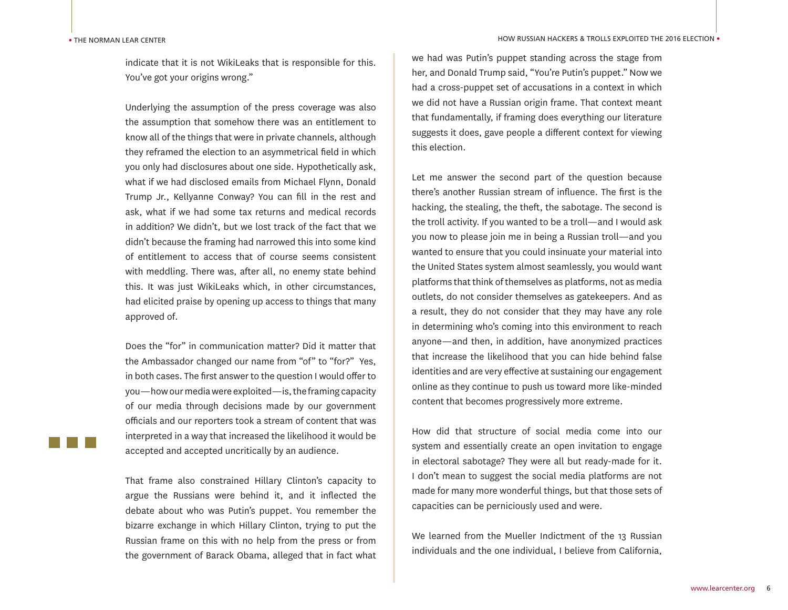#### • THE NORMAN LEAR CENTER

indicate that it is not WikiLeaks that is responsible for this. You've got your origins wrong."

Underlying the assumption of the press coverage was also the assumption that somehow there was an entitlement to know all of the things that were in private channels, although they reframed the election to an asymmetrical field in which you only had disclosures about one side. Hypothetically ask, what if we had disclosed emails from Michael Flynn, Donald Trump Jr., Kellyanne Conway? You can fill in the rest and ask, what if we had some tax returns and medical records in addition? We didn't, but we lost track of the fact that we didn't because the framing had narrowed this into some kind of entitlement to access that of course seems consistent with meddling. There was, after all, no enemy state behind this. It was just WikiLeaks which, in other circumstances, had elicited praise by opening up access to things that many approved of.

Does the "for" in communication matter? Did it matter that the Ambassador changed our name from "of" to "for?" Yes, in both cases. The first answer to the question I would offer to you—how our media were exploited—is, the framing capacity of our media through decisions made by our government officials and our reporters took a stream of content that was interpreted in a way that increased the likelihood it would be accepted and accepted uncritically by an audience.

That frame also constrained Hillary Clinton's capacity to argue the Russians were behind it, and it inflected the debate about who was Putin's puppet. You remember the bizarre exchange in which Hillary Clinton, trying to put the Russian frame on this with no help from the press or from the government of Barack Obama, alleged that in fact what HOW RUSSIAN HACKERS & TROLLS EXPLOITED THE 2016 ELECTION •

we had was Putin's puppet standing across the stage from her, and Donald Trump said, "You're Putin's puppet." Now we had a cross-puppet set of accusations in a context in which we did not have a Russian origin frame. That context meant that fundamentally, if framing does everything our literature suggests it does, gave people a different context for viewing this election.

Let me answer the second part of the question because there's another Russian stream of influence. The first is the hacking, the stealing, the theft, the sabotage. The second is the troll activity. If you wanted to be a troll—and I would ask you now to please join me in being a Russian troll—and you wanted to ensure that you could insinuate your material into the United States system almost seamlessly, you would want platforms that think of themselves as platforms, not as media outlets, do not consider themselves as gatekeepers. And as a result, they do not consider that they may have any role in determining who's coming into this environment to reach anyone—and then, in addition, have anonymized practices that increase the likelihood that you can hide behind false identities and are very effective at sustaining our engagement online as they continue to push us toward more like-minded content that becomes progressively more extreme.

How did that structure of social media come into our system and essentially create an open invitation to engage in electoral sabotage? They were all but ready-made for it. I don't mean to suggest the social media platforms are not made for many more wonderful things, but that those sets of capacities can be perniciously used and were.

We learned from the Mueller Indictment of the 13 Russian individuals and the one individual, I believe from California,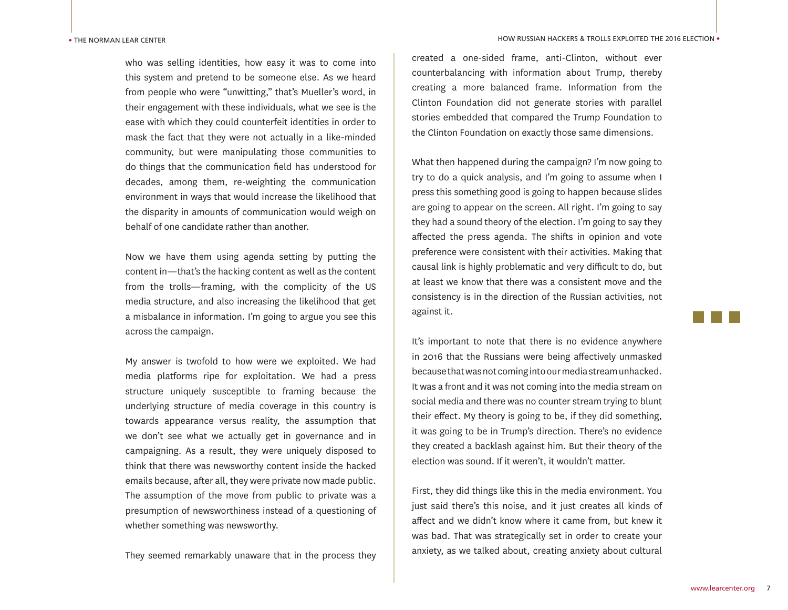who was selling identities, how easy it was to come into this system and pretend to be someone else. As we heard from people who were "unwitting," that's Mueller's word, in their engagement with these individuals, what we see is the ease with which they could counterfeit identities in order to mask the fact that they were not actually in a like-minded community, but were manipulating those communities to do things that the communication field has understood for decades, among them, re-weighting the communication environment in ways that would increase the likelihood that the disparity in amounts of communication would weigh on behalf of one candidate rather than another.

Now we have them using agenda setting by putting the content in—that's the hacking content as well as the content from the trolls—framing, with the complicity of the US media structure, and also increasing the likelihood that get a misbalance in information. I'm going to argue you see this across the campaign.

My answer is twofold to how were we exploited. We had media platforms ripe for exploitation. We had a press structure uniquely susceptible to framing because the underlying structure of media coverage in this country is towards appearance versus reality, the assumption that we don't see what we actually get in governance and in campaigning. As a result, they were uniquely disposed to think that there was newsworthy content inside the hacked emails because, after all, they were private now made public. The assumption of the move from public to private was a presumption of newsworthiness instead of a questioning of whether something was newsworthy.

They seemed remarkably unaware that in the process they

created a one-sided frame, anti-Clinton, without ever counterbalancing with information about Trump, thereby creating a more balanced frame. Information from the Clinton Foundation did not generate stories with parallel stories embedded that compared the Trump Foundation to the Clinton Foundation on exactly those same dimensions.

What then happened during the campaign? I'm now going to try to do a quick analysis, and I'm going to assume when I press this something good is going to happen because slides are going to appear on the screen. All right. I'm going to say they had a sound theory of the election. I'm going to say they affected the press agenda. The shifts in opinion and vote preference were consistent with their activities. Making that causal link is highly problematic and very difficult to do, but at least we know that there was a consistent move and the consistency is in the direction of the Russian activities, not against it.

It's important to note that there is no evidence anywhere in 2016 that the Russians were being affectively unmasked because that was not coming into our media stream unhacked. It was a front and it was not coming into the media stream on social media and there was no counter stream trying to blunt their effect. My theory is going to be, if they did something, it was going to be in Trump's direction. There's no evidence they created a backlash against him. But their theory of the election was sound. If it weren't, it wouldn't matter.

First, they did things like this in the media environment. You just said there's this noise, and it just creates all kinds of affect and we didn't know where it came from, but knew it was bad. That was strategically set in order to create your anxiety, as we talked about, creating anxiety about cultural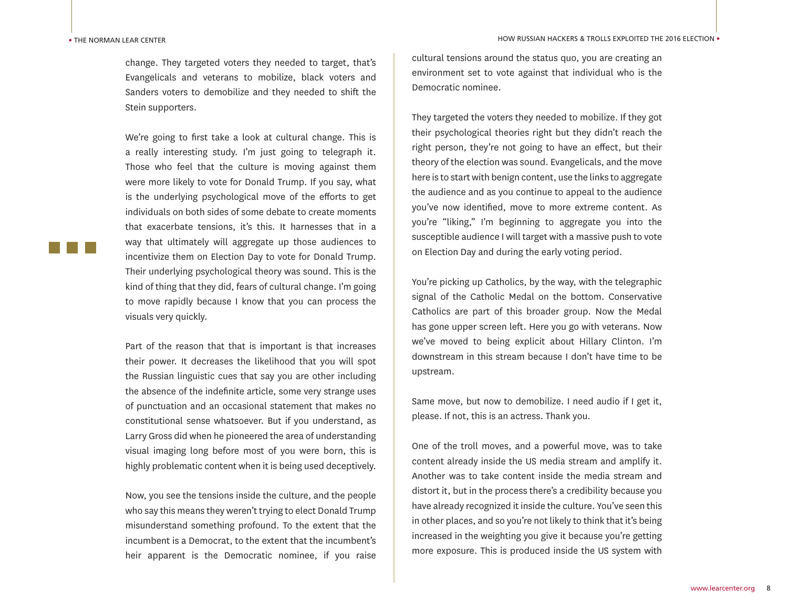change. They targeted voters they needed to target, that's Evangelicals and veterans to mobilize, black voters and Sanders voters to demobilize and they needed to shift the Stein supporters.

We're going to first take a look at cultural change. This is a really interesting study. I'm just going to telegraph it. Those who feel that the culture is moving against them were more likely to vote for Donald Trump. If you say, what is the underlying psychological move of the efforts to get individuals on both sides of some debate to create moments that exacerbate tensions, it's this. It harnesses that in a way that ultimately will aggregate up those audiences to incentivize them on Election Day to vote for Donald Trump. Their underlying psychological theory was sound. This is the kind of thing that they did, fears of cultural change. I'm going to move rapidly because I know that you can process the visuals very quickly.

Part of the reason that that is important is that increases their power. It decreases the likelihood that you will spot the Russian linguistic cues that say you are other including the absence of the indefinite article, some very strange uses of punctuation and an occasional statement that makes no constitutional sense whatsoever. But if you understand, as Larry Gross did when he pioneered the area of understanding visual imaging long before most of you were born, this is highly problematic content when it is being used deceptively.

Now, you see the tensions inside the culture, and the people who say this means they weren't trying to elect Donald Trump misunderstand something profound. To the extent that the incumbent is a Democrat, to the extent that the incumbent's heir apparent is the Democratic nominee, if you raise HOW RUSSIAN HACKERS & TROLLS EXPLOITED THE 2016 ELECTION •

cultural tensions around the status quo, you are creating an environment set to vote against that individual who is the Democratic nominee.

They targeted the voters they needed to mobilize. If they got their psychological theories right but they didn't reach the right person, they're not going to have an effect, but their theory of the election was sound. Evangelicals, and the move here is to start with benign content, use the links to aggregate the audience and as you continue to appeal to the audience you've now identified, move to more extreme content. As you're "liking," I'm beginning to aggregate you into the susceptible audience I will target with a massive push to vote on Election Day and during the early voting period.

You're picking up Catholics, by the way, with the telegraphic signal of the Catholic Medal on the bottom. Conservative Catholics are part of this broader group. Now the Medal has gone upper screen left. Here you go with veterans. Now we've moved to being explicit about Hillary Clinton. I'm downstream in this stream because I don't have time to be upstream.

Same move, but now to demobilize. I need audio if I get it, please. If not, this is an actress. Thank you.

One of the troll moves, and a powerful move, was to take content already inside the US media stream and amplify it. Another was to take content inside the media stream and distort it, but in the process there's a credibility because you have already recognized it inside the culture. You've seen this in other places, and so you're not likely to think that it's being increased in the weighting you give it because you're getting more exposure. This is produced inside the US system with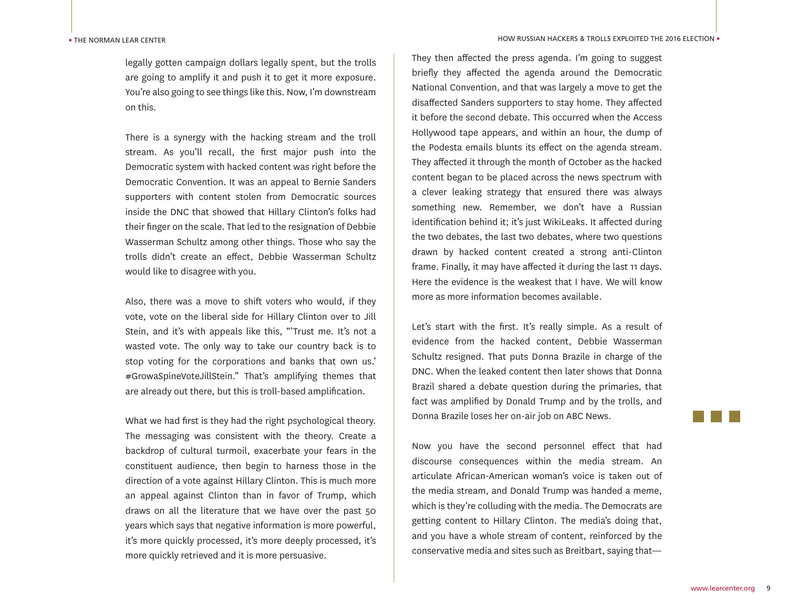legally gotten campaign dollars legally spent, but the trolls are going to amplify it and push it to get it more exposure. You're also going to see things like this. Now, I'm downstream on this.

There is a synergy with the hacking stream and the troll stream. As you'll recall, the first major push into the Democratic system with hacked content was right before the Democratic Convention. It was an appeal to Bernie Sanders supporters with content stolen from Democratic sources inside the DNC that showed that Hillary Clinton's folks had their finger on the scale. That led to the resignation of Debbie Wasserman Schultz among other things. Those who say the trolls didn't create an effect, Debbie Wasserman Schultz would like to disagree with you.

Also, there was a move to shift voters who would, if they vote, vote on the liberal side for Hillary Clinton over to Jill Stein, and it's with appeals like this, "'Trust me. It's not a wasted vote. The only way to take our country back is to stop voting for the corporations and banks that own us.' #GrowaSpineVoteJillStein." That's amplifying themes that are already out there, but this is troll-based amplification.

What we had first is they had the right psychological theory. The messaging was consistent with the theory. Create a backdrop of cultural turmoil, exacerbate your fears in the constituent audience, then begin to harness those in the direction of a vote against Hillary Clinton. This is much more an appeal against Clinton than in favor of Trump, which draws on all the literature that we have over the past 50 years which says that negative information is more powerful, it's more quickly processed, it's more deeply processed, it's more quickly retrieved and it is more persuasive.

They then affected the press agenda. I'm going to suggest briefly they affected the agenda around the Democratic National Convention, and that was largely a move to get the disaffected Sanders supporters to stay home. They affected it before the second debate. This occurred when the Access Hollywood tape appears, and within an hour, the dump of the Podesta emails blunts its effect on the agenda stream. They affected it through the month of October as the hacked content began to be placed across the news spectrum with a clever leaking strategy that ensured there was always something new. Remember, we don't have a Russian identification behind it; it's just WikiLeaks. It affected during the two debates, the last two debates, where two questions drawn by hacked content created a strong anti-Clinton frame. Finally, it may have affected it during the last 11 days. Here the evidence is the weakest that I have. We will know more as more information becomes available.

Let's start with the first. It's really simple. As a result of evidence from the hacked content, Debbie Wasserman Schultz resigned. That puts Donna Brazile in charge of the DNC. When the leaked content then later shows that Donna Brazil shared a debate question during the primaries, that fact was amplified by Donald Trump and by the trolls, and Donna Brazile loses her on-air job on ABC News.

Now you have the second personnel effect that had discourse consequences within the media stream. An articulate African-American woman's voice is taken out of the media stream, and Donald Trump was handed a meme, which is they're colluding with the media. The Democrats are getting content to Hillary Clinton. The media's doing that, and you have a whole stream of content, reinforced by the conservative media and sites such as Breitbart, saying that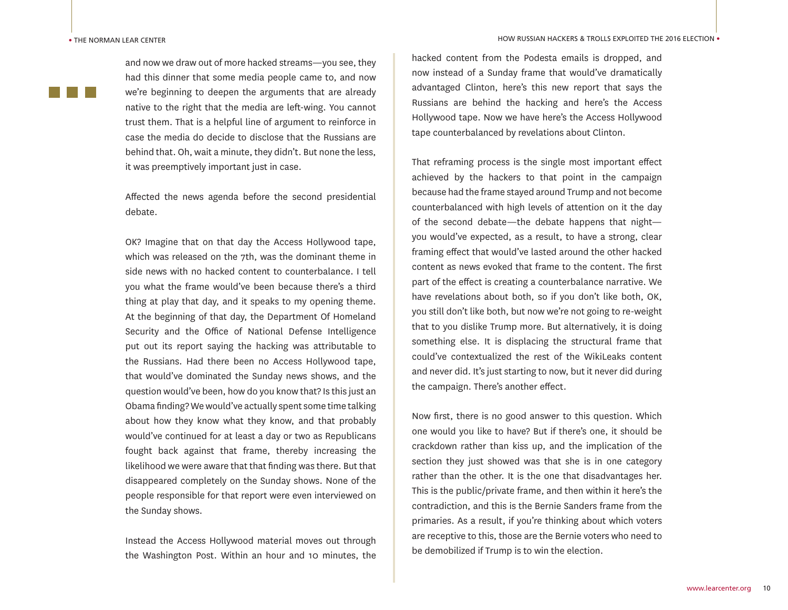and now we draw out of more hacked streams—you see, they had this dinner that some media people came to, and now we're beginning to deepen the arguments that are already native to the right that the media are left-wing. You cannot trust them. That is a helpful line of argument to reinforce in case the media do decide to disclose that the Russians are behind that. Oh, wait a minute, they didn't. But none the less, it was preemptively important just in case.

Affected the news agenda before the second presidential debate.

OK? Imagine that on that day the Access Hollywood tape, which was released on the 7th, was the dominant theme in side news with no hacked content to counterbalance. I tell you what the frame would've been because there's a third thing at play that day, and it speaks to my opening theme. At the beginning of that day, the Department Of Homeland Security and the Office of National Defense Intelligence put out its report saying the hacking was attributable to the Russians. Had there been no Access Hollywood tape, that would've dominated the Sunday news shows, and the question would've been, how do you know that? Is this just an Obama finding? We would've actually spent some time talking about how they know what they know, and that probably would've continued for at least a day or two as Republicans fought back against that frame, thereby increasing the likelihood we were aware that that finding was there. But that disappeared completely on the Sunday shows. None of the people responsible for that report were even interviewed on the Sunday shows.

Instead the Access Hollywood material moves out through the Washington Post. Within an hour and 10 minutes, the hacked content from the Podesta emails is dropped, and now instead of a Sunday frame that would've dramatically advantaged Clinton, here's this new report that says the Russians are behind the hacking and here's the Access Hollywood tape. Now we have here's the Access Hollywood tape counterbalanced by revelations about Clinton.

That reframing process is the single most important effect achieved by the hackers to that point in the campaign because had the frame stayed around Trump and not become counterbalanced with high levels of attention on it the day of the second debate—the debate happens that night you would've expected, as a result, to have a strong, clear framing effect that would've lasted around the other hacked content as news evoked that frame to the content. The first part of the effect is creating a counterbalance narrative. We have revelations about both, so if you don't like both, OK, you still don't like both, but now we're not going to re-weight that to you dislike Trump more. But alternatively, it is doing something else. It is displacing the structural frame that could've contextualized the rest of the WikiLeaks content and never did. It's just starting to now, but it never did during the campaign. There's another effect.

Now first, there is no good answer to this question. Which one would you like to have? But if there's one, it should be crackdown rather than kiss up, and the implication of the section they just showed was that she is in one category rather than the other. It is the one that disadvantages her. This is the public/private frame, and then within it here's the contradiction, and this is the Bernie Sanders frame from the primaries. As a result, if you're thinking about which voters are receptive to this, those are the Bernie voters who need to be demobilized if Trump is to win the election.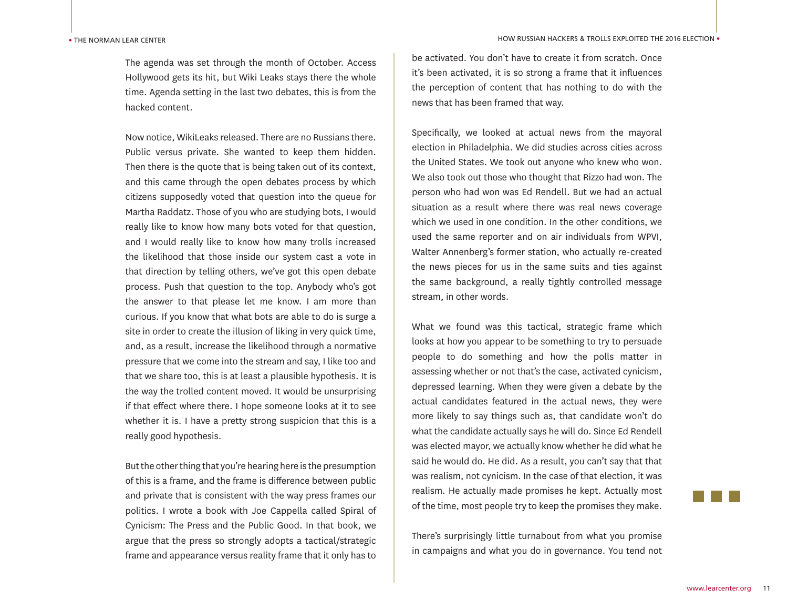The agenda was set through the month of October. Access Hollywood gets its hit, but Wiki Leaks stays there the whole time. Agenda setting in the last two debates, this is from the hacked content.

Now notice, WikiLeaks released. There are no Russians there. Public versus private. She wanted to keep them hidden. Then there is the quote that is being taken out of its context, and this came through the open debates process by which citizens supposedly voted that question into the queue for Martha Raddatz. Those of you who are studying bots, I would really like to know how many bots voted for that question, and I would really like to know how many trolls increased the likelihood that those inside our system cast a vote in that direction by telling others, we've got this open debate process. Push that question to the top. Anybody who's got the answer to that please let me know. I am more than curious. If you know that what bots are able to do is surge a site in order to create the illusion of liking in very quick time, and, as a result, increase the likelihood through a normative pressure that we come into the stream and say, I like too and that we share too, this is at least a plausible hypothesis. It is the way the trolled content moved. It would be unsurprising if that effect where there. I hope someone looks at it to see whether it is. I have a pretty strong suspicion that this is a really good hypothesis.

But the other thing that you're hearing here is the presumption of this is a frame, and the frame is difference between public and private that is consistent with the way press frames our politics. I wrote a book with Joe Cappella called Spiral of Cynicism: The Press and the Public Good. In that book, we argue that the press so strongly adopts a tactical/strategic frame and appearance versus reality frame that it only has to

be activated. You don't have to create it from scratch. Once it's been activated, it is so strong a frame that it influences the perception of content that has nothing to do with the news that has been framed that way.

Specifically, we looked at actual news from the mayoral election in Philadelphia. We did studies across cities across the United States. We took out anyone who knew who won. We also took out those who thought that Rizzo had won. The person who had won was Ed Rendell. But we had an actual situation as a result where there was real news coverage which we used in one condition. In the other conditions, we used the same reporter and on air individuals from WPVI, Walter Annenberg's former station, who actually re-created the news pieces for us in the same suits and ties against the same background, a really tightly controlled message stream, in other words.

What we found was this tactical, strategic frame which looks at how you appear to be something to try to persuade people to do something and how the polls matter in assessing whether or not that's the case, activated cynicism, depressed learning. When they were given a debate by the actual candidates featured in the actual news, they were more likely to say things such as, that candidate won't do what the candidate actually says he will do. Since Ed Rendell was elected mayor, we actually know whether he did what he said he would do. He did. As a result, you can't say that that was realism, not cynicism. In the case of that election, it was realism. He actually made promises he kept. Actually most of the time, most people try to keep the promises they make.

There's surprisingly little turnabout from what you promise in campaigns and what you do in governance. You tend not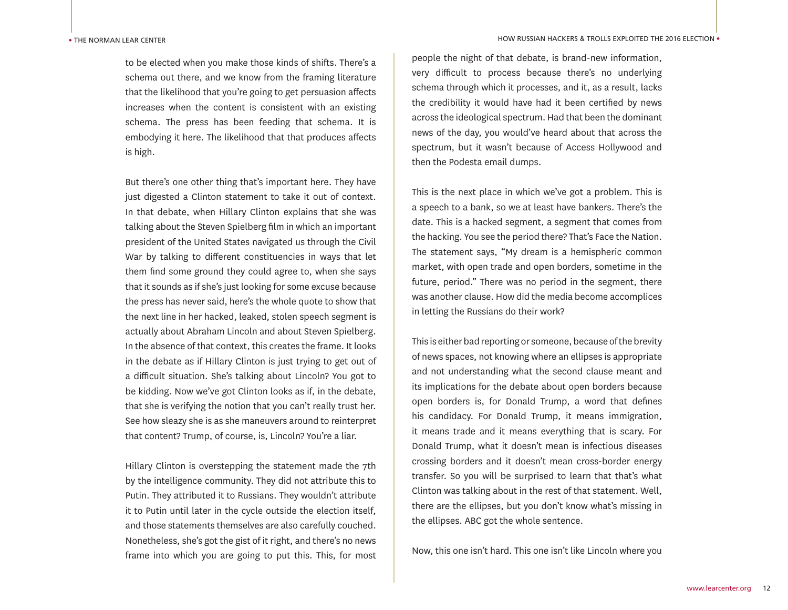to be elected when you make those kinds of shifts. There's a schema out there, and we know from the framing literature that the likelihood that you're going to get persuasion affects increases when the content is consistent with an existing schema. The press has been feeding that schema. It is embodying it here. The likelihood that that produces affects is high.

But there's one other thing that's important here. They have just digested a Clinton statement to take it out of context. In that debate, when Hillary Clinton explains that she was talking about the Steven Spielberg film in which an important president of the United States navigated us through the Civil War by talking to different constituencies in ways that let them find some ground they could agree to, when she says that it sounds as if she's just looking for some excuse because the press has never said, here's the whole quote to show that the next line in her hacked, leaked, stolen speech segment is actually about Abraham Lincoln and about Steven Spielberg. In the absence of that context, this creates the frame. It looks in the debate as if Hillary Clinton is just trying to get out of a difficult situation. She's talking about Lincoln? You got to be kidding. Now we've got Clinton looks as if, in the debate, that she is verifying the notion that you can't really trust her. See how sleazy she is as she maneuvers around to reinterpret that content? Trump, of course, is, Lincoln? You're a liar.

Hillary Clinton is overstepping the statement made the 7th by the intelligence community. They did not attribute this to Putin. They attributed it to Russians. They wouldn't attribute it to Putin until later in the cycle outside the election itself, and those statements themselves are also carefully couched. Nonetheless, she's got the gist of it right, and there's no news frame into which you are going to put this. This, for most

people the night of that debate, is brand-new information, very difficult to process because there's no underlying schema through which it processes, and it, as a result, lacks the credibility it would have had it been certified by news across the ideological spectrum. Had that been the dominant news of the day, you would've heard about that across the spectrum, but it wasn't because of Access Hollywood and then the Podesta email dumps.

This is the next place in which we've got a problem. This is a speech to a bank, so we at least have bankers. There's the date. This is a hacked segment, a segment that comes from the hacking. You see the period there? That's Face the Nation. The statement says, "My dream is a hemispheric common market, with open trade and open borders, sometime in the future, period." There was no period in the segment, there was another clause. How did the media become accomplices in letting the Russians do their work?

This is either bad reporting or someone, because of the brevity of news spaces, not knowing where an ellipses is appropriate and not understanding what the second clause meant and its implications for the debate about open borders because open borders is, for Donald Trump, a word that defines his candidacy. For Donald Trump, it means immigration, it means trade and it means everything that is scary. For Donald Trump, what it doesn't mean is infectious diseases crossing borders and it doesn't mean cross-border energy transfer. So you will be surprised to learn that that's what Clinton was talking about in the rest of that statement. Well, there are the ellipses, but you don't know what's missing in the ellipses. ABC got the whole sentence.

Now, this one isn't hard. This one isn't like Lincoln where you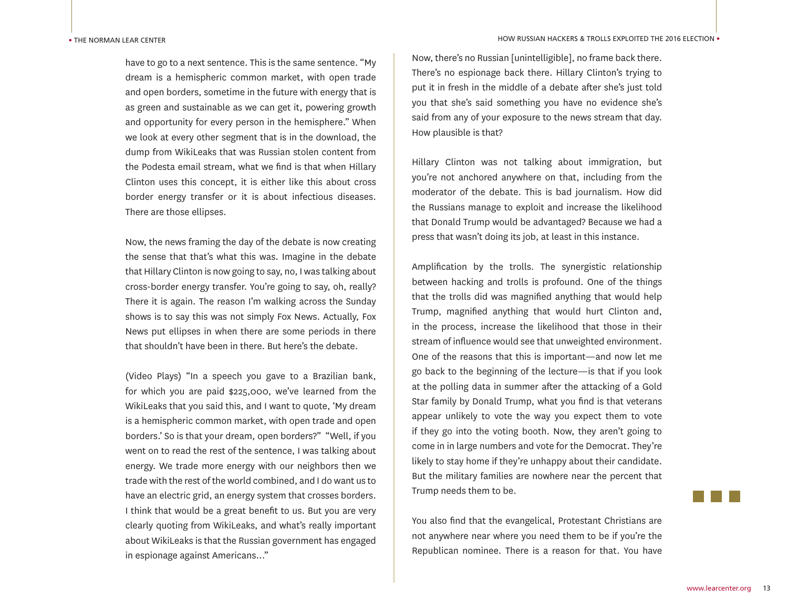have to go to a next sentence. This is the same sentence. "My dream is a hemispheric common market, with open trade and open borders, sometime in the future with energy that is as green and sustainable as we can get it, powering growth and opportunity for every person in the hemisphere." When we look at every other segment that is in the download, the dump from WikiLeaks that was Russian stolen content from the Podesta email stream, what we find is that when Hillary Clinton uses this concept, it is either like this about cross border energy transfer or it is about infectious diseases. There are those ellipses.

Now, the news framing the day of the debate is now creating the sense that that's what this was. Imagine in the debate that Hillary Clinton is now going to say, no, I was talking about cross-border energy transfer. You're going to say, oh, really? There it is again. The reason I'm walking across the Sunday shows is to say this was not simply Fox News. Actually, Fox News put ellipses in when there are some periods in there that shouldn't have been in there. But here's the debate.

(Video Plays) "In a speech you gave to a Brazilian bank, for which you are paid \$225,000, we've learned from the WikiLeaks that you said this, and I want to quote, 'My dream is a hemispheric common market, with open trade and open borders.' So is that your dream, open borders?" "Well, if you went on to read the rest of the sentence, I was talking about energy. We trade more energy with our neighbors then we trade with the rest of the world combined, and I do want us to have an electric grid, an energy system that crosses borders. I think that would be a great benefit to us. But you are very clearly quoting from WikiLeaks, and what's really important about WikiLeaks is that the Russian government has engaged in espionage against Americans..."

Now, there's no Russian [unintelligible], no frame back there. There's no espionage back there. Hillary Clinton's trying to put it in fresh in the middle of a debate after she's just told you that she's said something you have no evidence she's said from any of your exposure to the news stream that day. How plausible is that?

Hillary Clinton was not talking about immigration, but you're not anchored anywhere on that, including from the moderator of the debate. This is bad journalism. How did the Russians manage to exploit and increase the likelihood that Donald Trump would be advantaged? Because we had a press that wasn't doing its job, at least in this instance.

Amplification by the trolls. The synergistic relationship between hacking and trolls is profound. One of the things that the trolls did was magnified anything that would help Trump, magnified anything that would hurt Clinton and, in the process, increase the likelihood that those in their stream of influence would see that unweighted environment. One of the reasons that this is important—and now let me go back to the beginning of the lecture—is that if you look at the polling data in summer after the attacking of a Gold Star family by Donald Trump, what you find is that veterans appear unlikely to vote the way you expect them to vote if they go into the voting booth. Now, they aren't going to come in in large numbers and vote for the Democrat. They're likely to stay home if they're unhappy about their candidate. But the military families are nowhere near the percent that Trump needs them to be.

You also find that the evangelical, Protestant Christians are not anywhere near where you need them to be if you're the Republican nominee. There is a reason for that. You have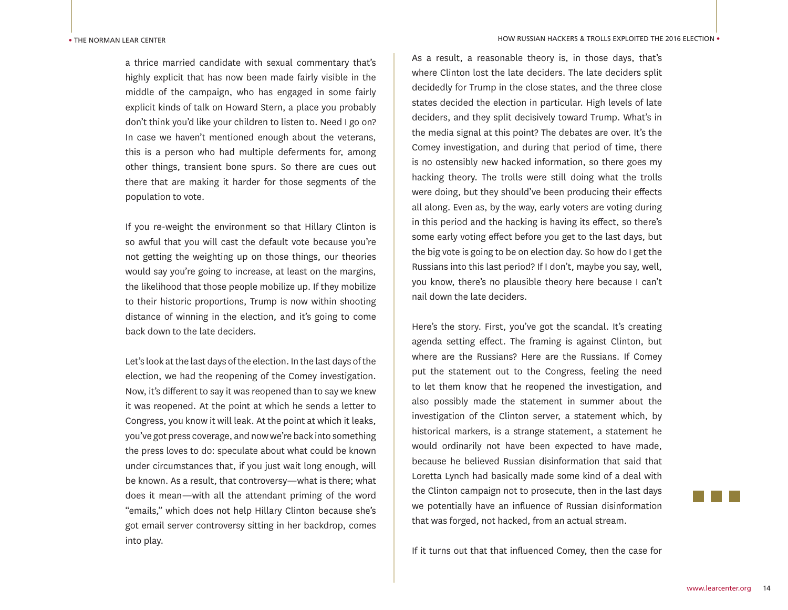a thrice married candidate with sexual commentary that's highly explicit that has now been made fairly visible in the middle of the campaign, who has engaged in some fairly explicit kinds of talk on Howard Stern, a place you probably don't think you'd like your children to listen to. Need I go on? In case we haven't mentioned enough about the veterans, this is a person who had multiple deferments for, among other things, transient bone spurs. So there are cues out there that are making it harder for those segments of the population to vote.

If you re-weight the environment so that Hillary Clinton is so awful that you will cast the default vote because you're not getting the weighting up on those things, our theories would say you're going to increase, at least on the margins, the likelihood that those people mobilize up. If they mobilize to their historic proportions, Trump is now within shooting distance of winning in the election, and it's going to come back down to the late deciders.

Let's look at the last days of the election. In the last days of the election, we had the reopening of the Comey investigation. Now, it's different to say it was reopened than to say we knew it was reopened. At the point at which he sends a letter to Congress, you know it will leak. At the point at which it leaks, you've got press coverage, and now we're back into something the press loves to do: speculate about what could be known under circumstances that, if you just wait long enough, will be known. As a result, that controversy—what is there; what does it mean—with all the attendant priming of the word "emails," which does not help Hillary Clinton because she's got email server controversy sitting in her backdrop, comes into play.

As a result, a reasonable theory is, in those days, that's where Clinton lost the late deciders. The late deciders split decidedly for Trump in the close states, and the three close states decided the election in particular. High levels of late deciders, and they split decisively toward Trump. What's in the media signal at this point? The debates are over. It's the Comey investigation, and during that period of time, there is no ostensibly new hacked information, so there goes my hacking theory. The trolls were still doing what the trolls were doing, but they should've been producing their effects all along. Even as, by the way, early voters are voting during in this period and the hacking is having its effect, so there's some early voting effect before you get to the last days, but the big vote is going to be on election day. So how do I get the Russians into this last period? If I don't, maybe you say, well, you know, there's no plausible theory here because I can't nail down the late deciders.

Here's the story. First, you've got the scandal. It's creating agenda setting effect. The framing is against Clinton, but where are the Russians? Here are the Russians. If Comey put the statement out to the Congress, feeling the need to let them know that he reopened the investigation, and also possibly made the statement in summer about the investigation of the Clinton server, a statement which, by historical markers, is a strange statement, a statement he would ordinarily not have been expected to have made, because he believed Russian disinformation that said that Loretta Lynch had basically made some kind of a deal with the Clinton campaign not to prosecute, then in the last days we potentially have an influence of Russian disinformation that was forged, not hacked, from an actual stream.

If it turns out that that influenced Comey, then the case for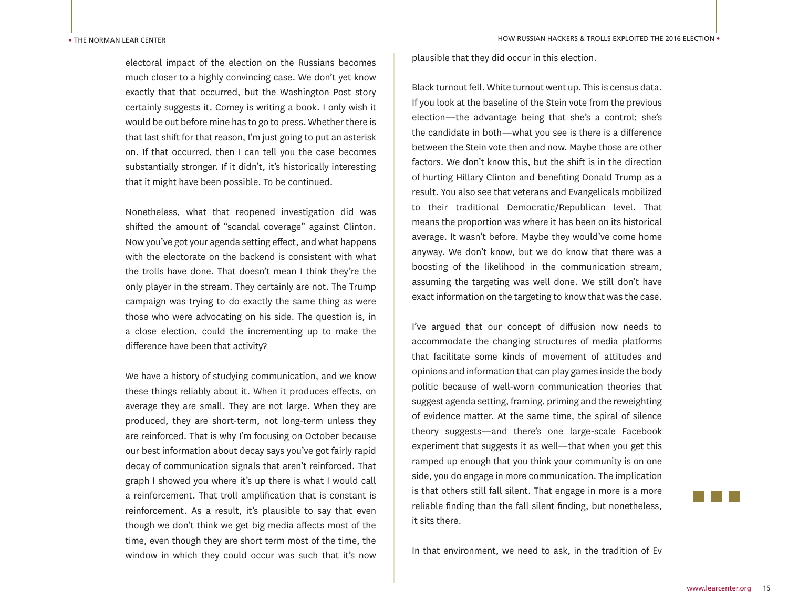electoral impact of the election on the Russians becomes much closer to a highly convincing case. We don't yet know exactly that that occurred, but the Washington Post story certainly suggests it. Comey is writing a book. I only wish it would be out before mine has to go to press. Whether there is that last shift for that reason, I'm just going to put an asterisk on. If that occurred, then I can tell you the case becomes substantially stronger. If it didn't, it's historically interesting that it might have been possible. To be continued.

Nonetheless, what that reopened investigation did was shifted the amount of "scandal coverage" against Clinton. Now you've got your agenda setting effect, and what happens with the electorate on the backend is consistent with what the trolls have done. That doesn't mean I think they're the only player in the stream. They certainly are not. The Trump campaign was trying to do exactly the same thing as were those who were advocating on his side. The question is, in a close election, could the incrementing up to make the difference have been that activity?

We have a history of studying communication, and we know these things reliably about it. When it produces effects, on average they are small. They are not large. When they are produced, they are short-term, not long-term unless they are reinforced. That is why I'm focusing on October because our best information about decay says you've got fairly rapid decay of communication signals that aren't reinforced. That graph I showed you where it's up there is what I would call a reinforcement. That troll amplification that is constant is reinforcement. As a result, it's plausible to say that even though we don't think we get big media affects most of the time, even though they are short term most of the time, the window in which they could occur was such that it's now

plausible that they did occur in this election.

Black turnout fell. White turnout went up. This is census data. If you look at the baseline of the Stein vote from the previous election—the advantage being that she's a control; she's the candidate in both—what you see is there is a difference between the Stein vote then and now. Maybe those are other factors. We don't know this, but the shift is in the direction of hurting Hillary Clinton and benefiting Donald Trump as a result. You also see that veterans and Evangelicals mobilized to their traditional Democratic/Republican level. That means the proportion was where it has been on its historical average. It wasn't before. Maybe they would've come home anyway. We don't know, but we do know that there was a boosting of the likelihood in the communication stream, assuming the targeting was well done. We still don't have exact information on the targeting to know that was the case.

I've argued that our concept of diffusion now needs to accommodate the changing structures of media platforms that facilitate some kinds of movement of attitudes and opinions and information that can play games inside the body politic because of well-worn communication theories that suggest agenda setting, framing, priming and the reweighting of evidence matter. At the same time, the spiral of silence theory suggests—and there's one large-scale Facebook experiment that suggests it as well—that when you get this ramped up enough that you think your community is on one side, you do engage in more communication. The implication is that others still fall silent. That engage in more is a more reliable finding than the fall silent finding, but nonetheless, it sits there.

In that environment, we need to ask, in the tradition of Ev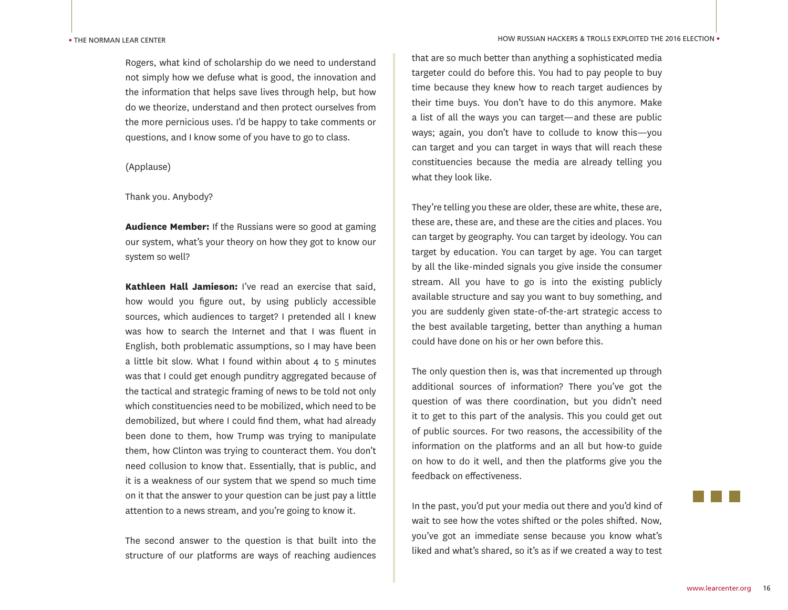#### • THE NORMAN LEAR CENTER

Rogers, what kind of scholarship do we need to understand not simply how we defuse what is good, the innovation and the information that helps save lives through help, but how do we theorize, understand and then protect ourselves from the more pernicious uses. I'd be happy to take comments or questions, and I know some of you have to go to class.

## (Applause)

### Thank you. Anybody?

**Audience Member:** If the Russians were so good at gaming our system, what's your theory on how they got to know our system so well?

**Kathleen Hall Jamieson:** I've read an exercise that said, how would you figure out, by using publicly accessible sources, which audiences to target? I pretended all I knew was how to search the Internet and that I was fluent in English, both problematic assumptions, so I may have been a little bit slow. What I found within about 4 to 5 minutes was that I could get enough punditry aggregated because of the tactical and strategic framing of news to be told not only which constituencies need to be mobilized, which need to be demobilized, but where I could find them, what had already been done to them, how Trump was trying to manipulate them, how Clinton was trying to counteract them. You don't need collusion to know that. Essentially, that is public, and it is a weakness of our system that we spend so much time on it that the answer to your question can be just pay a little attention to a news stream, and you're going to know it.

The second answer to the question is that built into the structure of our platforms are ways of reaching audiences

that are so much better than anything a sophisticated media targeter could do before this. You had to pay people to buy time because they knew how to reach target audiences by their time buys. You don't have to do this anymore. Make a list of all the ways you can target—and these are public ways; again, you don't have to collude to know this—you can target and you can target in ways that will reach these constituencies because the media are already telling you what they look like.

They're telling you these are older, these are white, these are, these are, these are, and these are the cities and places. You can target by geography. You can target by ideology. You can target by education. You can target by age. You can target by all the like-minded signals you give inside the consumer stream. All you have to go is into the existing publicly available structure and say you want to buy something, and you are suddenly given state-of-the-art strategic access to the best available targeting, better than anything a human could have done on his or her own before this.

The only question then is, was that incremented up through additional sources of information? There you've got the question of was there coordination, but you didn't need it to get to this part of the analysis. This you could get out of public sources. For two reasons, the accessibility of the information on the platforms and an all but how-to guide on how to do it well, and then the platforms give you the feedback on effectiveness.

In the past, you'd put your media out there and you'd kind of wait to see how the votes shifted or the poles shifted. Now, you've got an immediate sense because you know what's liked and what's shared, so it's as if we created a way to test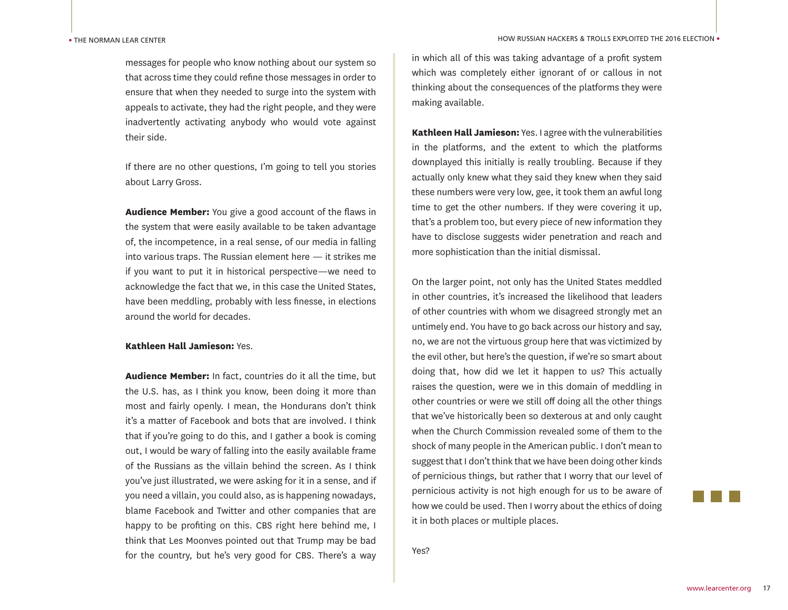messages for people who know nothing about our system so that across time they could refine those messages in order to ensure that when they needed to surge into the system with appeals to activate, they had the right people, and they were inadvertently activating anybody who would vote against their side.

If there are no other questions, I'm going to tell you stories about Larry Gross.

**Audience Member:** You give a good account of the flaws in the system that were easily available to be taken advantage of, the incompetence, in a real sense, of our media in falling into various traps. The Russian element here — it strikes me if you want to put it in historical perspective—we need to acknowledge the fact that we, in this case the United States, have been meddling, probably with less finesse, in elections around the world for decades.

## **Kathleen Hall Jamieson:** Yes.

**Audience Member:** In fact, countries do it all the time, but the U.S. has, as I think you know, been doing it more than most and fairly openly. I mean, the Hondurans don't think it's a matter of Facebook and bots that are involved. I think that if you're going to do this, and I gather a book is coming out, I would be wary of falling into the easily available frame of the Russians as the villain behind the screen. As I think you've just illustrated, we were asking for it in a sense, and if you need a villain, you could also, as is happening nowadays, blame Facebook and Twitter and other companies that are happy to be profiting on this. CBS right here behind me, I think that Les Moonves pointed out that Trump may be bad for the country, but he's very good for CBS. There's a way

in which all of this was taking advantage of a profit system which was completely either ignorant of or callous in not thinking about the consequences of the platforms they were making available.

**Kathleen Hall Jamieson:** Yes. I agree with the vulnerabilities in the platforms, and the extent to which the platforms downplayed this initially is really troubling. Because if they actually only knew what they said they knew when they said these numbers were very low, gee, it took them an awful long time to get the other numbers. If they were covering it up, that's a problem too, but every piece of new information they have to disclose suggests wider penetration and reach and more sophistication than the initial dismissal.

On the larger point, not only has the United States meddled in other countries, it's increased the likelihood that leaders of other countries with whom we disagreed strongly met an untimely end. You have to go back across our history and say, no, we are not the virtuous group here that was victimized by the evil other, but here's the question, if we're so smart about doing that, how did we let it happen to us? This actually raises the question, were we in this domain of meddling in other countries or were we still off doing all the other things that we've historically been so dexterous at and only caught when the Church Commission revealed some of them to the shock of many people in the American public. I don't mean to suggest that I don't think that we have been doing other kinds of pernicious things, but rather that I worry that our level of pernicious activity is not high enough for us to be aware of how we could be used. Then I worry about the ethics of doing it in both places or multiple places.

Yes?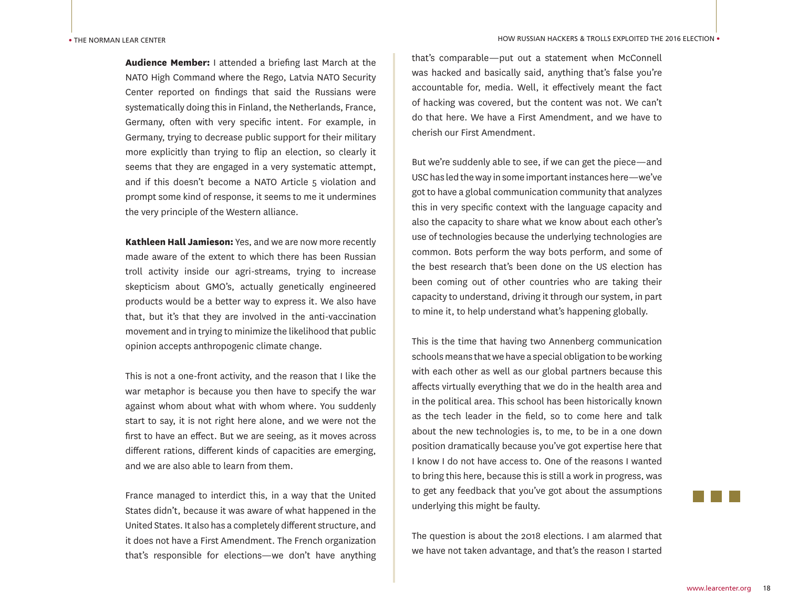**Audience Member:** I attended a briefing last March at the NATO High Command where the Rego, Latvia NATO Security Center reported on findings that said the Russians were systematically doing this in Finland, the Netherlands, France, Germany, often with very specific intent. For example, in Germany, trying to decrease public support for their military more explicitly than trying to flip an election, so clearly it seems that they are engaged in a very systematic attempt, and if this doesn't become a NATO Article 5 violation and prompt some kind of response, it seems to me it undermines the very principle of the Western alliance.

**Kathleen Hall Jamieson:** Yes, and we are now more recently made aware of the extent to which there has been Russian troll activity inside our agri-streams, trying to increase skepticism about GMO's, actually genetically engineered products would be a better way to express it. We also have that, but it's that they are involved in the anti-vaccination movement and in trying to minimize the likelihood that public opinion accepts anthropogenic climate change.

This is not a one-front activity, and the reason that I like the war metaphor is because you then have to specify the war against whom about what with whom where. You suddenly start to say, it is not right here alone, and we were not the first to have an effect. But we are seeing, as it moves across different rations, different kinds of capacities are emerging, and we are also able to learn from them.

France managed to interdict this, in a way that the United States didn't, because it was aware of what happened in the United States. It also has a completely different structure, and it does not have a First Amendment. The French organization that's responsible for elections—we don't have anything

that's comparable—put out a statement when McConnell was hacked and basically said, anything that's false you're accountable for, media. Well, it effectively meant the fact of hacking was covered, but the content was not. We can't do that here. We have a First Amendment, and we have to cherish our First Amendment.

But we're suddenly able to see, if we can get the piece—and USC has led the way in some important instances here—we've got to have a global communication community that analyzes this in very specific context with the language capacity and also the capacity to share what we know about each other's use of technologies because the underlying technologies are common. Bots perform the way bots perform, and some of the best research that's been done on the US election has been coming out of other countries who are taking their capacity to understand, driving it through our system, in part to mine it, to help understand what's happening globally.

This is the time that having two Annenberg communication schools means that we have a special obligation to be working with each other as well as our global partners because this affects virtually everything that we do in the health area and in the political area. This school has been historically known as the tech leader in the field, so to come here and talk about the new technologies is, to me, to be in a one down position dramatically because you've got expertise here that I know I do not have access to. One of the reasons I wanted to bring this here, because this is still a work in progress, was to get any feedback that you've got about the assumptions underlying this might be faulty.

The question is about the 2018 elections. I am alarmed that we have not taken advantage, and that's the reason I started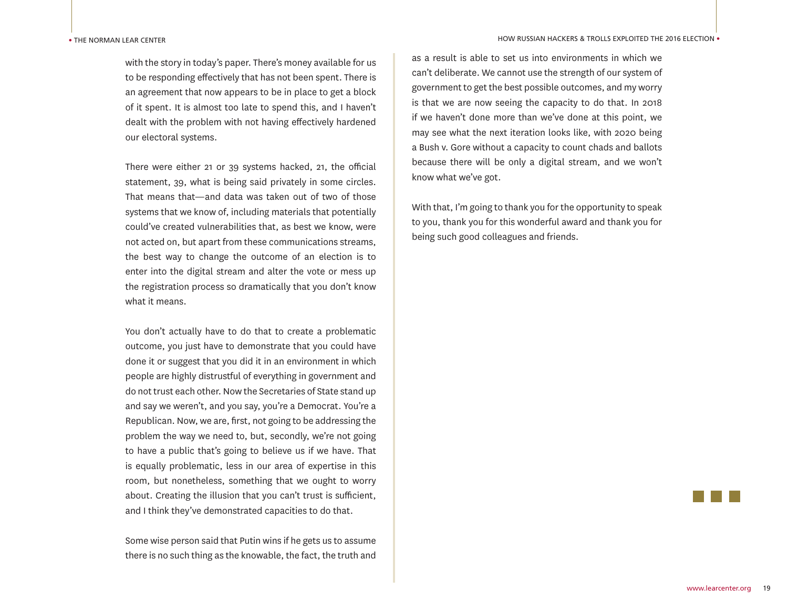with the story in today's paper. There's money available for us to be responding effectively that has not been spent. There is an agreement that now appears to be in place to get a block of it spent. It is almost too late to spend this, and I haven't dealt with the problem with not having effectively hardened our electoral systems.

There were either 21 or 39 systems hacked, 21, the official statement, 39, what is being said privately in some circles. That means that—and data was taken out of two of those systems that we know of, including materials that potentially could've created vulnerabilities that, as best we know, were not acted on, but apart from these communications streams, the best way to change the outcome of an election is to enter into the digital stream and alter the vote or mess up the registration process so dramatically that you don't know what it means.

You don't actually have to do that to create a problematic outcome, you just have to demonstrate that you could have done it or suggest that you did it in an environment in which people are highly distrustful of everything in government and do not trust each other. Now the Secretaries of State stand up and say we weren't, and you say, you're a Democrat. You're a Republican. Now, we are, first, not going to be addressing the problem the way we need to, but, secondly, we're not going to have a public that's going to believe us if we have. That is equally problematic, less in our area of expertise in this room, but nonetheless, something that we ought to worry about. Creating the illusion that you can't trust is sufficient, and I think they've demonstrated capacities to do that.

Some wise person said that Putin wins if he gets us to assume there is no such thing as the knowable, the fact, the truth and

as a result is able to set us into environments in which we can't deliberate. We cannot use the strength of our system of government to get the best possible outcomes, and my worry is that we are now seeing the capacity to do that. In 2018 if we haven't done more than we've done at this point, we may see what the next iteration looks like, with 2020 being a Bush v. Gore without a capacity to count chads and ballots because there will be only a digital stream, and we won't know what we've got.

With that, I'm going to thank you for the opportunity to speak to you, thank you for this wonderful award and thank you for being such good colleagues and friends.